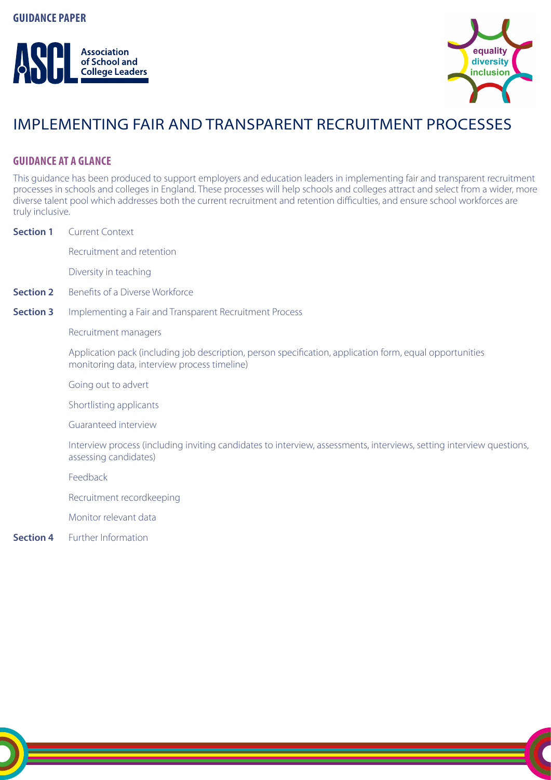



# IMPLEMENTING FAIR AND TRANSPARENT RECRUITMENT PROCESSES

# **GUIDANCE AT A GLANCE**

This guidance has been produced to support employers and education leaders in implementing fair and transparent recruitment processes in schools and colleges in England. These processes will help schools and colleges attract and select from a wider, more diverse talent pool which addresses both the current recruitment and retention difficulties, and ensure school workforces are truly inclusive.

| <b>Section 1</b> | <b>Current Context</b>                                                                                                                                   |
|------------------|----------------------------------------------------------------------------------------------------------------------------------------------------------|
|                  | Recruitment and retention                                                                                                                                |
|                  | Diversity in teaching                                                                                                                                    |
| <b>Section 2</b> | Benefits of a Diverse Workforce                                                                                                                          |
| <b>Section 3</b> | Implementing a Fair and Transparent Recruitment Process                                                                                                  |
|                  | Recruitment managers                                                                                                                                     |
|                  | Application pack (including job description, person specification, application form, equal opportunities<br>monitoring data, interview process timeline) |
|                  | Going out to advert                                                                                                                                      |
|                  | Shortlisting applicants                                                                                                                                  |
|                  | Guaranteed interview                                                                                                                                     |
|                  | Interview process (including inviting candidates to interview, assessments, interviews, setting interview questions,<br>assessing candidates)            |
|                  | Feedback                                                                                                                                                 |
|                  | Recruitment recordkeeping                                                                                                                                |
|                  | Monitor relevant data                                                                                                                                    |
| <b>Section 4</b> | Further Information                                                                                                                                      |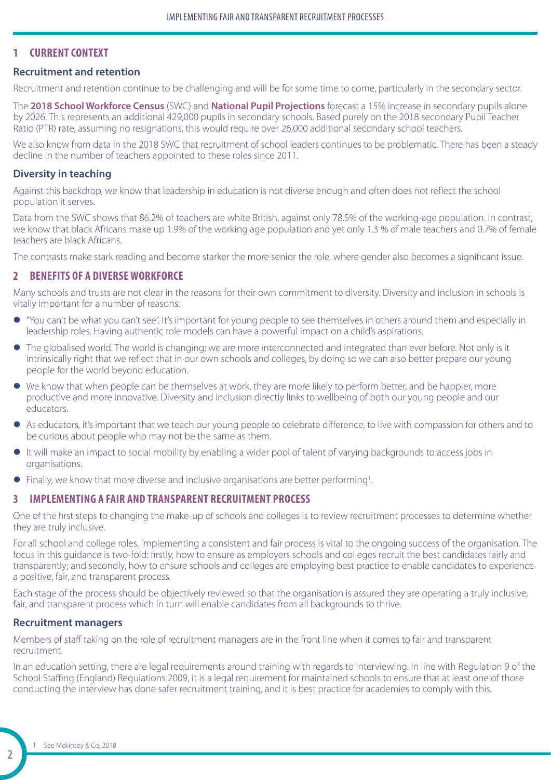## **1 CURRENT CONTEXT**

## **Recruitment and retention**

Recruitment and retention continue to be challenging and will be for some time to come, particularly in the secondary sector.

The **[2018 School Workforce Census](https://www.gov.uk/government/statistics/school-workforce-in-england-november-2018)** (SWC) and **[National Pupil Projections](https://assets.publishing.service.gov.uk/government/uploads/system/uploads/attachment_data/file/815634/National_pupil_projections__future_trends_in_pupil_numbers_July_2019_update.pdf)** forecast a 15% increase in secondary pupils alone by 2026. This represents an additional 429,000 pupils in secondary schools. Based purely on the 2018 secondary Pupil Teacher Ratio (PTR) rate, assuming no resignations, this would require over 26,000 additional secondary school teachers.

We also know from data in the 2018 SWC that recruitment of school leaders continues to be problematic. There has been a steady decline in the number of teachers appointed to these roles since 2011.

#### **Diversity in teaching**

Against this backdrop, we know that leadership in education is not diverse enough and often does not reflect the school population it serves.

Data from the SWC shows that 86.2% of teachers are white British, against only 78.5% of the working-age population. In contrast, we know that black Africans make up 1.9% of the working age population and yet only 1.3 % of male teachers and 0.7% of female teachers are black Africans.

The contrasts make stark reading and become starker the more senior the role, where gender also becomes a significant issue.

## **2 BENEFITS OF A DIVERSE WORKFORCE**

Many schools and trusts are not clear in the reasons for their own commitment to diversity. Diversity and inclusion in schools is vitally important for a number of reasons:

- z "You can't be what you can't see". It's important for young people to see themselves in others around them and especially in leadership roles. Having authentic role models can have a powerful impact on a child's aspirations.
- The globalised world. The world is changing; we are more interconnected and integrated than ever before. Not only is it intrinsically right that we reflect that in our own schools and colleges, by doing so we can also better prepare our young people for the world beyond education.
- We know that when people can be themselves at work, they are more likely to perform better, and be happier, more productive and more innovative. Diversity and inclusion directly links to wellbeing of both our young people and our educators.
- As educators, it's important that we teach our young people to celebrate difference, to live with compassion for others and to be curious about people who may not be the same as them.
- $\bullet$  It will make an impact to social mobility by enabling a wider pool of talent of varying backgrounds to access jobs in organisations.
- Finally, we know that more diverse and inclusive organisations are better performing<sup>1</sup>.

## **3 IMPLEMENTING A FAIR AND TRANSPARENT RECRUITMENT PROCESS**

One of the first steps to changing the make-up of schools and colleges is to review recruitment processes to determine whether they are truly inclusive.

For all school and college roles, implementing a consistent and fair process is vital to the ongoing success of the organisation. The focus in this guidance is two-fold: firstly, how to ensure as employers schools and colleges recruit the best candidates fairly and transparently; and secondly, how to ensure schools and colleges are employing best practice to enable candidates to experience a positive, fair, and transparent process.

Each stage of the process should be objectively reviewed so that the organisation is assured they are operating a truly inclusive, fair, and transparent process which in turn will enable candidates from all backgrounds to thrive.

#### **Recruitment managers**

Members of staff taking on the role of recruitment managers are in the front line when it comes to fair and transparent recruitment.

In an education setting, there are legal requirements around training with regards to interviewing. In line with Regulation 9 of the School Staffing (England) Regulations 2009, it is a legal requirement for maintained schools to ensure that at least one of those conducting the interview has done safer recruitment training, and it is best practice for academies to comply with this.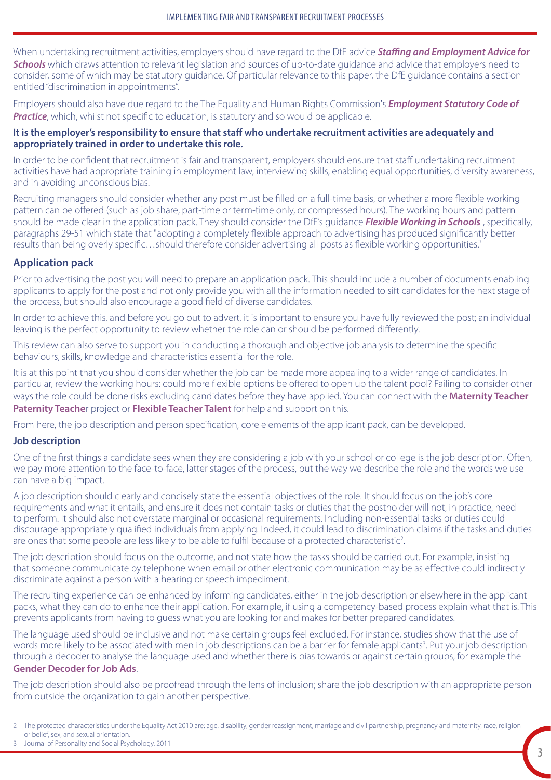When undertaking recruitment activities, employers should have regard to the DfE advice *[Staffing and Employment Advice for](https://www.gov.uk/government/publications/staffing-and-employment-advice-for-schools)  [Schools](https://www.gov.uk/government/publications/staffing-and-employment-advice-for-schools)* which draws attention to relevant legislation and sources of up-to-date guidance and advice that employers need to consider, some of which may be statutory guidance. Of particular relevance to this paper, the DfE guidance contains a section entitled "discrimination in appointments".

Employers should also have due regard to the The Equality and Human Rights Commission's *[Employment Statutory Code of](www.equalityhumanrights.com/sites/default/files/employercode.pdf)  [Practice](www.equalityhumanrights.com/sites/default/files/employercode.pdf)*, which, whilst not specific to education, is statutory and so would be applicable.

### **It is the employer's responsibility to ensure that staff who undertake recruitment activities are adequately and appropriately trained in order to undertake this role.**

In order to be confident that recruitment is fair and transparent, employers should ensure that staff undertaking recruitment activities have had appropriate training in employment law, interviewing skills, enabling equal opportunities, diversity awareness, and in avoiding unconscious bias.

Recruiting managers should consider whether any post must be filled on a full-time basis, or whether a more flexible working pattern can be offered (such as job share, part-time or term-time only, or compressed hours). The working hours and pattern should be made clear in the application pack. They should consider the DfE's guidance *[Flexible Working in Schools](https://www.gov.uk/government/publications/flexible-working-in-schools)* , specifically, paragraphs 29-51 which state that "adopting a completely flexible approach to advertising has produced significantly better results than being overly specific…should therefore consider advertising all posts as flexible working opportunities."

# **Application pack**

Prior to advertising the post you will need to prepare an application pack. This should include a number of documents enabling applicants to apply for the post and not only provide you with all the information needed to sift candidates for the next stage of the process, but should also encourage a good field of diverse candidates.

In order to achieve this, and before you go out to advert, it is important to ensure you have fully reviewed the post; an individual leaving is the perfect opportunity to review whether the role can or should be performed differently.

This review can also serve to support you in conducting a thorough and objective job analysis to determine the specific behaviours, skills, knowledge and characteristics essential for the role.

It is at this point that you should consider whether the job can be made more appealing to a wider range of candidates. In particular, review the working hours: could more flexible options be offered to open up the talent pool? Failing to consider other ways the role could be done risks excluding candidates before they have applied. You can connect with the **[Maternity Teacher](http://www.mtpt.org.uk/)  [Paternity Teache](http://www.mtpt.org.uk/)**r project or **[Flexible Teacher Talent](https://flexibleteachertalent.co.uk/)** for help and support on this.

From here, the job description and person specification, core elements of the applicant pack, can be developed.

## **Job description**

One of the first things a candidate sees when they are considering a job with your school or college is the job description. Often, we pay more attention to the face-to-face, latter stages of the process, but the way we describe the role and the words we use can have a big impact.

A job description should clearly and concisely state the essential objectives of the role. It should focus on the job's core requirements and what it entails, and ensure it does not contain tasks or duties that the postholder will not, in practice, need to perform. It should also not overstate marginal or occasional requirements. Including non-essential tasks or duties could discourage appropriately qualified individuals from applying. Indeed, it could lead to discrimination claims if the tasks and duties are ones that some people are less likely to be able to fulfil because of a protected characteristic<sup>2</sup>.

The job description should focus on the outcome, and not state how the tasks should be carried out. For example, insisting that someone communicate by telephone when email or other electronic communication may be as effective could indirectly discriminate against a person with a hearing or speech impediment.

The recruiting experience can be enhanced by informing candidates, either in the job description or elsewhere in the applicant packs, what they can do to enhance their application. For example, if using a competency-based process explain what that is. This prevents applicants from having to guess what you are looking for and makes for better prepared candidates.

The language used should be inclusive and not make certain groups feel excluded. For instance, studies show that the use of words more likely to be associated with men in job descriptions can be a barrier for female applicants<sup>3</sup>. Put your job description through a decoder to analyse the language used and whether there is bias towards or against certain groups, for example the **[Gender Decoder for Job Ads](http://gender-decoder.katmatfield.com/)**.

The job description should also be proofread through the lens of inclusion; share the job description with an appropriate person from outside the organization to gain another perspective.

<sup>2</sup> The protected characteristics under the Equality Act 2010 are: age, disability, gender reassignment, marriage and civil partnership, pregnancy and maternity, race, religion or belief, sex, and sexual orientation.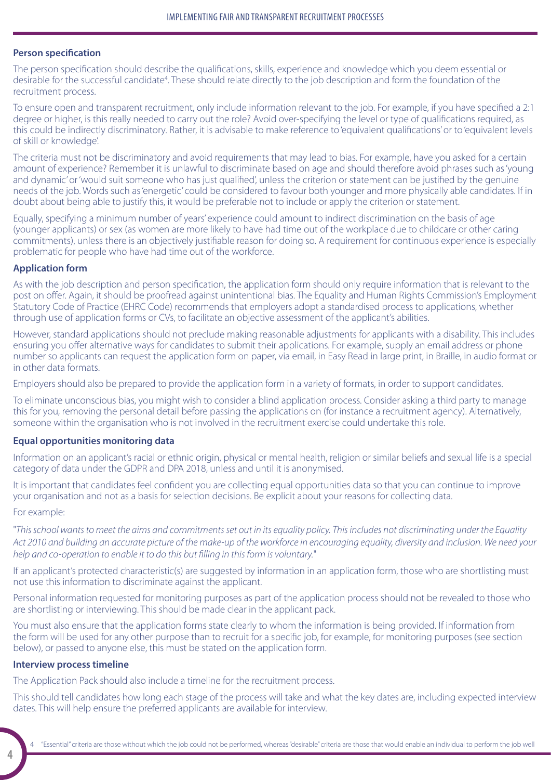#### **Person specification**

The person specification should describe the qualifications, skills, experience and knowledge which you deem essential or desirable for the successful candidate<sup>4</sup>. These should relate directly to the job description and form the foundation of the recruitment process.

To ensure open and transparent recruitment, only include information relevant to the job. For example, if you have specified a 2:1 degree or higher, is this really needed to carry out the role? Avoid over-specifying the level or type of qualifications required, as this could be indirectly discriminatory. Rather, it is advisable to make reference to 'equivalent qualifications' or to 'equivalent levels of skill or knowledge'.

The criteria must not be discriminatory and avoid requirements that may lead to bias. For example, have you asked for a certain amount of experience? Remember it is unlawful to discriminate based on age and should therefore avoid phrases such as 'young and dynamic' or 'would suit someone who has just qualified', unless the criterion or statement can be justified by the genuine needs of the job. Words such as 'energetic' could be considered to favour both younger and more physically able candidates. If in doubt about being able to justify this, it would be preferable not to include or apply the criterion or statement.

Equally, specifying a minimum number of years' experience could amount to indirect discrimination on the basis of age (younger applicants) or sex (as women are more likely to have had time out of the workplace due to childcare or other caring commitments), unless there is an objectively justifiable reason for doing so. A requirement for continuous experience is especially problematic for people who have had time out of the workforce.

#### **Application form**

As with the job description and person specification, the application form should only require information that is relevant to the post on offer. Again, it should be proofread against unintentional bias. The Equality and Human Rights Commission's Employment Statutory Code of Practice (EHRC Code) recommends that employers adopt a standardised process to applications, whether through use of application forms or CVs, to facilitate an objective assessment of the applicant's abilities.

However, standard applications should not preclude making reasonable adjustments for applicants with a disability. This includes ensuring you offer alternative ways for candidates to submit their applications. For example, supply an email address or phone number so applicants can request the application form on paper, via email, in Easy Read in large print, in Braille, in audio format or in other data formats.

Employers should also be prepared to provide the application form in a variety of formats, in order to support candidates.

To eliminate unconscious bias, you might wish to consider a blind application process. Consider asking a third party to manage this for you, removing the personal detail before passing the applications on (for instance a recruitment agency). Alternatively, someone within the organisation who is not involved in the recruitment exercise could undertake this role.

#### **Equal opportunities monitoring data**

Information on an applicant's racial or ethnic origin, physical or mental health, religion or similar beliefs and sexual life is a special category of data under the GDPR and DPA 2018, unless and until it is anonymised.

It is important that candidates feel confident you are collecting equal opportunities data so that you can continue to improve your organisation and not as a basis for selection decisions. Be explicit about your reasons for collecting data.

#### For example:

"*This school wants to meet the aims and commitments set out in its equality policy. This includes not discriminating under the Equality Act 2010 and building an accurate picture of the make-up of the workforce in encouraging equality, diversity and inclusion. We need your help and co-operation to enable it to do this but filling in this form is voluntary.*"

If an applicant's protected characteristic(s) are suggested by information in an application form, those who are shortlisting must not use this information to discriminate against the applicant.

Personal information requested for monitoring purposes as part of the application process should not be revealed to those who are shortlisting or interviewing. This should be made clear in the applicant pack.

You must also ensure that the application forms state clearly to whom the information is being provided. If information from the form will be used for any other purpose than to recruit for a specific job, for example, for monitoring purposes (see section below), or passed to anyone else, this must be stated on the application form.

## **Interview process timeline**

The Application Pack should also include a timeline for the recruitment process.

This should tell candidates how long each stage of the process will take and what the key dates are, including expected interview dates. This will help ensure the preferred applicants are available for interview.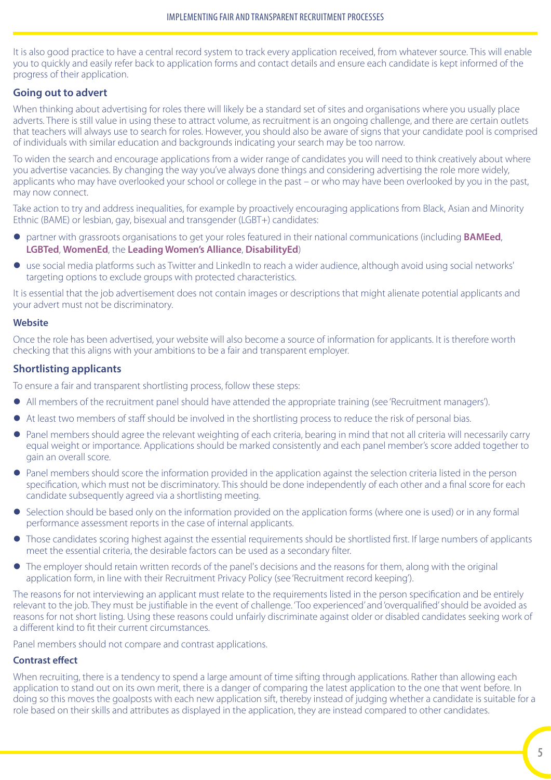It is also good practice to have a central record system to track every application received, from whatever source. This will enable you to quickly and easily refer back to application forms and contact details and ensure each candidate is kept informed of the progress of their application.

## **Going out to advert**

When thinking about advertising for roles there will likely be a standard set of sites and organisations where you usually place adverts. There is still value in using these to attract volume, as recruitment is an ongoing challenge, and there are certain outlets that teachers will always use to search for roles. However, you should also be aware of signs that your candidate pool is comprised of individuals with similar education and backgrounds indicating your search may be too narrow.

To widen the search and encourage applications from a wider range of candidates you will need to think creatively about where you advertise vacancies. By changing the way you've always done things and considering advertising the role more widely, applicants who may have overlooked your school or college in the past – or who may have been overlooked by you in the past, may now connect.

Take action to try and address inequalities, for example by proactively encouraging applications from Black, Asian and Minority Ethnic (BAME) or lesbian, gay, bisexual and transgender (LGBT+) candidates:

- **•** partner with grassroots organisations to get your roles featured in their national communications (including **[BAMEed](https://www.bameednetwork.com)**, **[LGBTed](http://lgbted.uk)**, **[WomenEd](https://www.womened.org)**, the **[Leading Women's Alliance](http://www.leadingwomeneducation.co.uk/leading-womens)**, **[DisabilityEd](https://twitter.com/disabilityeduk)**)
- use social media platforms such as Twitter and LinkedIn to reach a wider audience, although avoid using social networks' targeting options to exclude groups with protected characteristics.

It is essential that the job advertisement does not contain images or descriptions that might alienate potential applicants and your advert must not be discriminatory.

#### **Website**

Once the role has been advertised, your website will also become a source of information for applicants. It is therefore worth checking that this aligns with your ambitions to be a fair and transparent employer.

## **Shortlisting applicants**

To ensure a fair and transparent shortlisting process, follow these steps:

- All members of the recruitment panel should have attended the appropriate training (see 'Recruitment managers').
- At least two members of staff should be involved in the shortlisting process to reduce the risk of personal bias.
- Panel members should agree the relevant weighting of each criteria, bearing in mind that not all criteria will necessarily carry equal weight or importance. Applications should be marked consistently and each panel member's score added together to gain an overall score.
- Panel members should score the information provided in the application against the selection criteria listed in the person specification, which must not be discriminatory. This should be done independently of each other and a final score for each candidate subsequently agreed via a shortlisting meeting.
- Selection should be based only on the information provided on the application forms (where one is used) or in any formal performance assessment reports in the case of internal applicants.
- $\bullet$  Those candidates scoring highest against the essential requirements should be shortlisted first. If large numbers of applicants meet the essential criteria, the desirable factors can be used as a secondary filter.
- $\bullet$  The employer should retain written records of the panel's decisions and the reasons for them, along with the original application form, in line with their Recruitment Privacy Policy (see 'Recruitment record keeping').

The reasons for not interviewing an applicant must relate to the requirements listed in the person specification and be entirely relevant to the job. They must be justifiable in the event of challenge. 'Too experienced' and 'overqualified' should be avoided as reasons for not short listing. Using these reasons could unfairly discriminate against older or disabled candidates seeking work of a different kind to fit their current circumstances.

Panel members should not compare and contrast applications.

#### **Contrast effect**

When recruiting, there is a tendency to spend a large amount of time sifting through applications. Rather than allowing each application to stand out on its own merit, there is a danger of comparing the latest application to the one that went before. In doing so this moves the goalposts with each new application sift, thereby instead of judging whether a candidate is suitable for a role based on their skills and attributes as displayed in the application, they are instead compared to other candidates.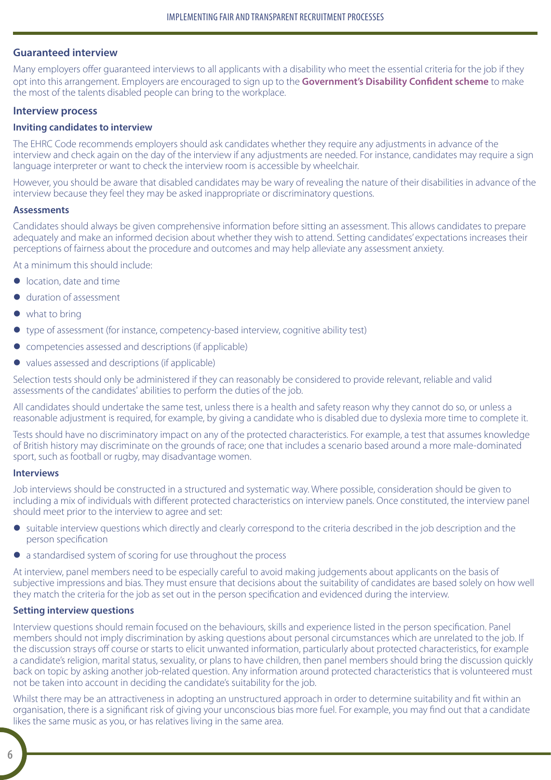## **Guaranteed interview**

Many employers offer guaranteed interviews to all applicants with a disability who meet the essential criteria for the job if they opt into this arrangement. Employers are encouraged to sign up to the **[Government's Disability Confident scheme](https://www.gov.uk/guidance/disability-confident-how-to-sign-up-to-the-employer-scheme)** to make the most of the talents disabled people can bring to the workplace.

#### **Interview process**

#### **Inviting candidates to interview**

The EHRC Code recommends employers should ask candidates whether they require any adjustments in advance of the interview and check again on the day of the interview if any adjustments are needed. For instance, candidates may require a sign language interpreter or want to check the interview room is accessible by wheelchair.

However, you should be aware that disabled candidates may be wary of revealing the nature of their disabilities in advance of the interview because they feel they may be asked inappropriate or discriminatory questions.

#### **Assessments**

Candidates should always be given comprehensive information before sitting an assessment. This allows candidates to prepare adequately and make an informed decision about whether they wish to attend. Setting candidates' expectations increases their perceptions of fairness about the procedure and outcomes and may help alleviate any assessment anxiety.

At a minimum this should include:

- **•** location, date and time
- **•** duration of assessment
- $\bullet$  what to bring
- type of assessment (for instance, competency-based interview, cognitive ability test)
- $\bullet$  competencies assessed and descriptions (if applicable)
- $\bullet$  values assessed and descriptions (if applicable)

Selection tests should only be administered if they can reasonably be considered to provide relevant, reliable and valid assessments of the candidates' abilities to perform the duties of the job.

All candidates should undertake the same test, unless there is a health and safety reason why they cannot do so, or unless a reasonable adjustment is required, for example, by giving a candidate who is disabled due to dyslexia more time to complete it.

Tests should have no discriminatory impact on any of the protected characteristics. For example, a test that assumes knowledge of British history may discriminate on the grounds of race; one that includes a scenario based around a more male-dominated sport, such as football or rugby, may disadvantage women.

#### **Interviews**

Job interviews should be constructed in a structured and systematic way. Where possible, consideration should be given to including a mix of individuals with different protected characteristics on interview panels. Once constituted, the interview panel should meet prior to the interview to agree and set:

- suitable interview questions which directly and clearly correspond to the criteria described in the job description and the person specification
- a standardised system of scoring for use throughout the process

At interview, panel members need to be especially careful to avoid making judgements about applicants on the basis of subjective impressions and bias. They must ensure that decisions about the suitability of candidates are based solely on how well they match the criteria for the job as set out in the person specification and evidenced during the interview.

#### **Setting interview questions**

Interview questions should remain focused on the behaviours, skills and experience listed in the person specification. Panel members should not imply discrimination by asking questions about personal circumstances which are unrelated to the job. If the discussion strays off course or starts to elicit unwanted information, particularly about protected characteristics, for example a candidate's religion, marital status, sexuality, or plans to have children, then panel members should bring the discussion quickly back on topic by asking another job-related question. Any information around protected characteristics that is volunteered must not be taken into account in deciding the candidate's suitability for the job.

Whilst there may be an attractiveness in adopting an unstructured approach in order to determine suitability and fit within an organisation, there is a significant risk of giving your unconscious bias more fuel. For example, you may find out that a candidate likes the same music as you, or has relatives living in the same area.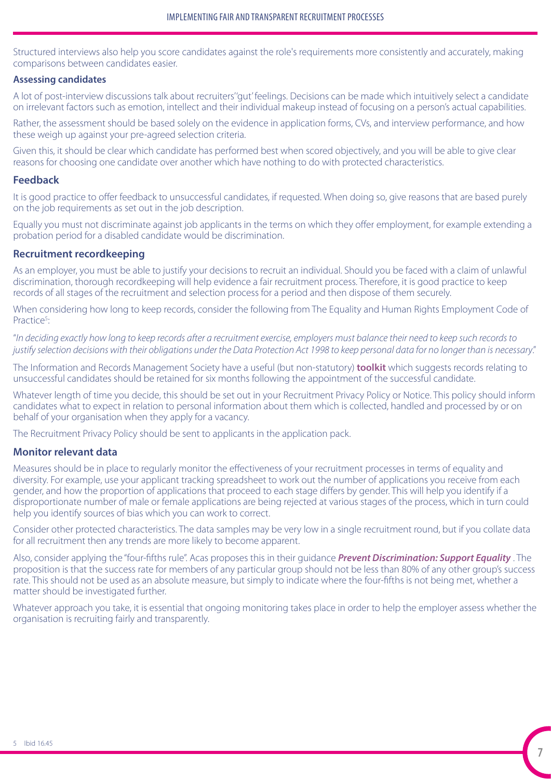Structured interviews also help you score candidates against the role's requirements more consistently and accurately, making comparisons between candidates easier.

### **Assessing candidates**

A lot of post-interview discussions talk about recruiters' 'gut' feelings. Decisions can be made which intuitively select a candidate on irrelevant factors such as emotion, intellect and their individual makeup instead of focusing on a person's actual capabilities.

Rather, the assessment should be based solely on the evidence in application forms, CVs, and interview performance, and how these weigh up against your pre-agreed selection criteria.

Given this, it should be clear which candidate has performed best when scored objectively, and you will be able to give clear reasons for choosing one candidate over another which have nothing to do with protected characteristics.

## **Feedback**

It is good practice to offer feedback to unsuccessful candidates, if requested. When doing so, give reasons that are based purely on the job requirements as set out in the job description.

Equally you must not discriminate against job applicants in the terms on which they offer employment, for example extending a probation period for a disabled candidate would be discrimination.

# **Recruitment recordkeeping**

As an employer, you must be able to justify your decisions to recruit an individual. Should you be faced with a claim of unlawful discrimination, thorough recordkeeping will help evidence a fair recruitment process. Therefore, it is good practice to keep records of all stages of the recruitment and selection process for a period and then dispose of them securely.

When considering how long to keep records, consider the following from The Equality and Human Rights Employment Code of Practice<sup>5</sup>: :

"*In deciding exactly how long to keep records after a recruitment exercise, employers must balance their need to keep such records to justify selection decisions with their obligations under the Data Protection Act 1998 to keep personal data for no longer than is necessary*."

The Information and Records Management Society have a useful (but non-statutory) **[toolkit](https://irms.org.uk/page/SchoolsToolkit)** which suggests records relating to unsuccessful candidates should be retained for six months following the appointment of the successful candidate.

Whatever length of time you decide, this should be set out in your Recruitment Privacy Policy or Notice. This policy should inform candidates what to expect in relation to personal information about them which is collected, handled and processed by or on behalf of your organisation when they apply for a vacancy.

The Recruitment Privacy Policy should be sent to applicants in the application pack.

## **Monitor relevant data**

Measures should be in place to regularly monitor the effectiveness of your recruitment processes in terms of equality and diversity. For example, use your applicant tracking spreadsheet to work out the number of applications you receive from each gender, and how the proportion of applications that proceed to each stage differs by gender. This will help you identify if a disproportionate number of male or female applications are being rejected at various stages of the process, which in turn could help you identify sources of bias which you can work to correct.

Consider other protected characteristics. The data samples may be very low in a single recruitment round, but if you collate data for all recruitment then any trends are more likely to become apparent.

Also, consider applying the "four-fifths rule". Acas proposes this in their guidance *[Prevent Discrimination: Support Equality](https://archive.acas.org.uk/media/4402/Prevent-discrimination-support-equality/pdf/Prevent_discrimination_June_2018.pdf)* . The proposition is that the success rate for members of any particular group should not be less than 80% of any other group's success rate. This should not be used as an absolute measure, but simply to indicate where the four-fifths is not being met, whether a matter should be investigated further.

Whatever approach you take, it is essential that ongoing monitoring takes place in order to help the employer assess whether the organisation is recruiting fairly and transparently.